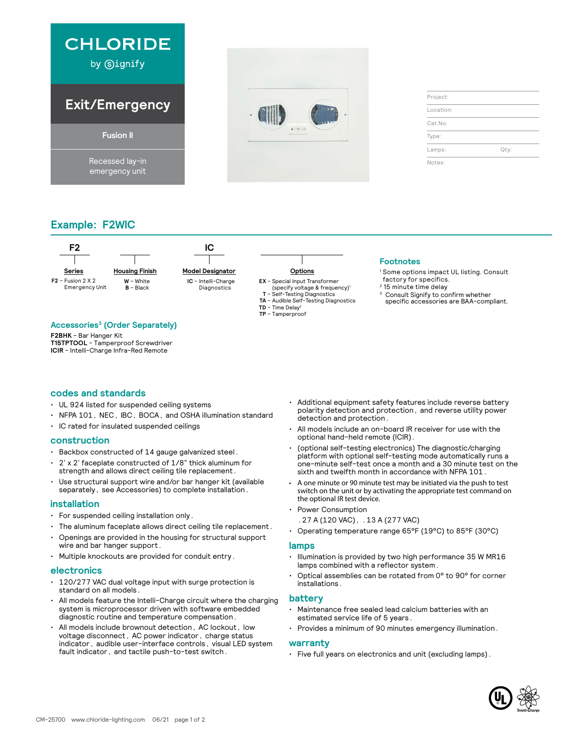



| Project:  |      |
|-----------|------|
| Location: |      |
| Cat.No:   |      |
| Type:     |      |
| Lamps:    | Qty: |
| Notes:    |      |

# **Example: F2WIC**



# **Accessories3 (Order Separately)**

**F2BHK** - Bar Hanger Kit **T15TPTOOL** - Tamperproof Screwdriver **ICIR** - Intelli-Charge Infra-Red Remote

# **codes and standards**

- UL 924 listed for suspended ceiling systems
- NFPA 101, NEC, IBC, BOCA, and OSHA illumination standard
- IC rated for insulated suspended ceilings

# **construction**

- Backbox constructed of 14 gauge galvanized steel.
- 2' x 2' faceplate constructed of 1/8" thick aluminum for strength and allows direct ceiling tile replacement.
- Use structural support wire and/or bar hanger kit (available separately, see Accessories) to complete installation.

# **installation**

- For suspended ceiling installation only.
- The aluminum faceplate allows direct ceiling tile replacement.
- Openings are provided in the housing for structural support wire and bar hanger support.
- Multiple knockouts are provided for conduit entry.

#### **electronics**

- 120/277 VAC dual voltage input with surge protection is standard on all models.
- All models feature the Intelli-Charge circuit where the charging system is microprocessor driven with software embedded diagnostic routine and temperature compensation.
- All models include brownout detection, AC lockout, low voltage disconnect, AC power indicator, charge status indicator, audible user-interface controls, visual LED system fault indicator, and tactile push-to-test switch.
- Additional equipment safety features include reverse battery polarity detection and protection, and reverse utility power detection and protection.
- All models include an on-board IR receiver for use with the optional hand-held remote (ICIR).
- (optional self-testing electronics) The diagnostic/charging platform with optional self-testing mode automatically runs a one-minute self-test once a month and a 30 minute test on the sixth and twelfth month in accordance with NFPA 101.
- A one minute or 90 minute test may be initiated via the push to test switch on the unit or by activating the appropriate test command on the optional IR test device.
- Power Consumption
	- .27 A (120 VAC), .13 A (277 VAC)
- Operating temperature range 65°F (19°C) to 85°F (30°C)

#### **lamps**

- Illumination is provided by two high performance 35 W MR16 lamps combined with a reflector system.
- Optical assemblies can be rotated from 0° to 90° for corner installations.

# **battery**

- Maintenance free sealed lead calcium batteries with an estimated service life of 5 years.
- Provides a minimum of 90 minutes emergency illumination.

#### **warranty**

• Five full years on electronics and unit (excluding lamps).